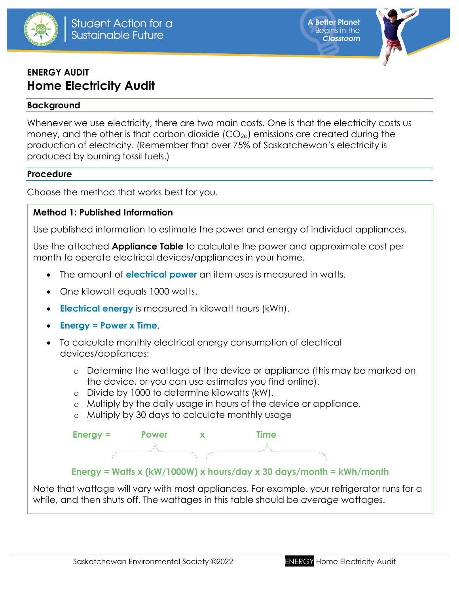

**A Better Planet Beains in the Classroom** 



# **ENERGY AUDIT Home Electricity Audit**

### **Background**

Whenever we use electricity, there are two main costs. One is that the electricity costs us money, and the other is that carbon dioxide  $(CO_{2e})$  emissions are created during the production of electricity. (Remember that over 75% of Saskatchewan's electricity is produced by burning fossil fuels.)

### **Procedure**

Choose the method that works best for you.

## **Method 1: Published Information**

Use published information to estimate the power and energy of individual appliances.

Use the attached **Appliance Table** to calculate the power and approximate cost per month to operate electrical devices/appliances in your home.

- The amount of **electrical power** an item uses is measured in watts.
- One kilowatt equals 1000 watts.
- **Electrical energy** is measured in kilowatt hours (kWh).
- **Energy = Power x Time**.
- To calculate monthly electrical energy consumption of electrical devices/appliances:
	- o Determine the wattage of the device or appliance (this may be marked on the device, or you can use estimates you find online).
	- o Divide by 1000 to determine kilowatts (kW).
	- o Multiply by the daily usage in hours of the device or appliance.
	- o Multiply by 30 days to calculate monthly usage



**Energy = Watts x (kW/1000W) x hours/day x 30 days/month = kWh/month**

Note that wattage will vary with most appliances. For example, your refrigerator runs for a while, and then shuts off. The wattages in this table should be *average* wattages.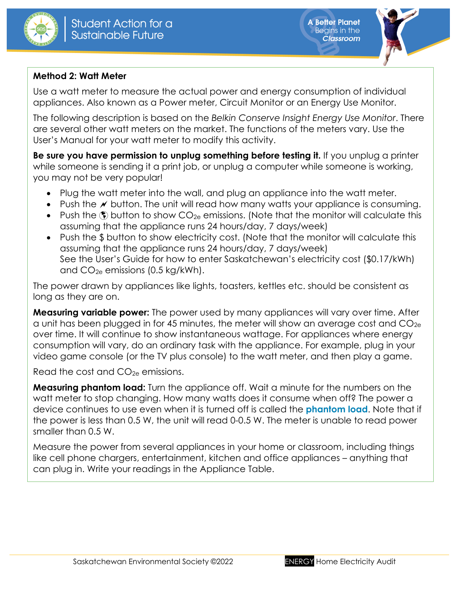



# **Method 2: Watt Meter**

Use a watt meter to measure the actual power and energy consumption of individual appliances. Also known as a Power meter, Circuit Monitor or an Energy Use Monitor.

The following description is based on the *Belkin Conserve Insight Energy Use Monitor*. There are several other watt meters on the market. The functions of the meters vary. Use the User's Manual for your watt meter to modify this activity.

**Be sure you have permission to unplug something before testing it.** If you unplug a printer while someone is sending it a print job, or unplug a computer while someone is working, you may not be very popular!

- Plug the watt meter into the wall, and plug an appliance into the watt meter.
- Push the  $\ell$  button. The unit will read how many watts your appliance is consuming.
- Push the  $\circledast$  button to show  $CO_{2e}$  emissions. (Note that the monitor will calculate this assuming that the appliance runs 24 hours/day, 7 days/week)
- Push the \$ button to show electricity cost. (Note that the monitor will calculate this assuming that the appliance runs 24 hours/day, 7 days/week) See the User's Guide for how to enter Saskatchewan's electricity cost (\$0.17/kWh) and  $CO<sub>2e</sub>$  emissions (0.5 kg/kWh).

The power drawn by appliances like lights, toasters, kettles etc. should be consistent as long as they are on.

**Measuring variable power:** The power used by many appliances will vary over time. After a unit has been plugged in for 45 minutes, the meter will show an average cost and  $CO_{2e}$ over time. It will continue to show instantaneous wattage. For appliances where energy consumption will vary, do an ordinary task with the appliance. For example, plug in your video game console (or the TV plus console) to the watt meter, and then play a game.

Read the cost and  $CO_{2e}$  emissions.

**Measuring phantom load:** Turn the appliance off. Wait a minute for the numbers on the watt meter to stop changing. How many watts does it consume when off? The power a device continues to use even when it is turned off is called the **phantom load**. Note that if the power is less than 0.5 W, the unit will read 0-0.5 W. The meter is unable to read power smaller than 0.5 W.

Measure the power from several appliances in your home or classroom, including things like cell phone chargers, entertainment, kitchen and office appliances – anything that can plug in. Write your readings in the Appliance Table.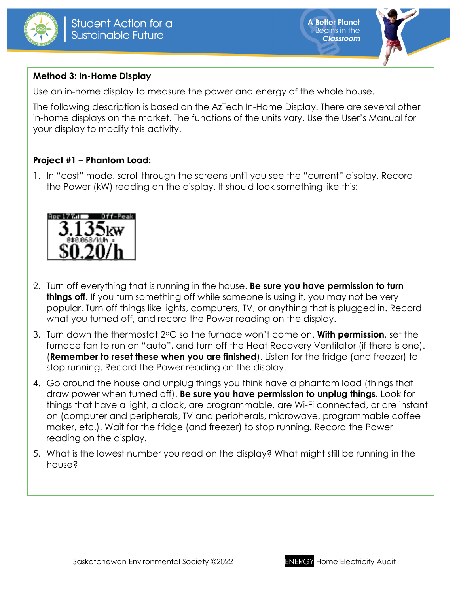



# **Method 3: In-Home Display**

Use an in-home display to measure the power and energy of the whole house.

The following description is based on the AzTech In-Home Display. There are several other in-home displays on the market. The functions of the units vary. Use the User's Manual for your display to modify this activity.

# **Project #1 – Phantom Load:**

1. In "cost" mode, scroll through the screens until you see the "current" display. Record the Power (kW) reading on the display. It should look something like this:



- 2. Turn off everything that is running in the house. **Be sure you have permission to turn things off.** If you turn something off while someone is using it, you may not be very popular. Turn off things like lights, computers, TV, or anything that is plugged in. Record what you turned off, and record the Power reading on the display.
- 3. Turn down the thermostat 2oC so the furnace won't come on. **With permission**, set the furnace fan to run on "auto", and turn off the Heat Recovery Ventilator (if there is one). (**Remember to reset these when you are finished**). Listen for the fridge (and freezer) to stop running. Record the Power reading on the display.
- 4. Go around the house and unplug things you think have a phantom load (things that draw power when turned off). **Be sure you have permission to unplug things.** Look for things that have a light, a clock, are programmable, are Wi-Fi connected, or are instant on (computer and peripherals, TV and peripherals, microwave, programmable coffee maker, etc.). Wait for the fridge (and freezer) to stop running. Record the Power reading on the display.
- 5. What is the lowest number you read on the display? What might still be running in the house?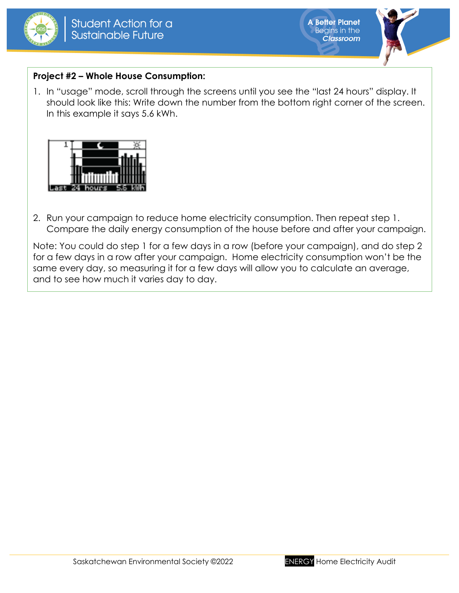



# **Project #2 – Whole House Consumption:**

1. In "usage" mode, scroll through the screens until you see the "last 24 hours" display. It should look like this: Write down the number from the bottom right corner of the screen. In this example it says 5.6 kWh.



2. Run your campaign to reduce home electricity consumption. Then repeat step 1. Compare the daily energy consumption of the house before and after your campaign.

Note: You could do step 1 for a few days in a row (before your campaign), and do step 2 for a few days in a row after your campaign. Home electricity consumption won't be the same every day, so measuring it for a few days will allow you to calculate an average, and to see how much it varies day to day.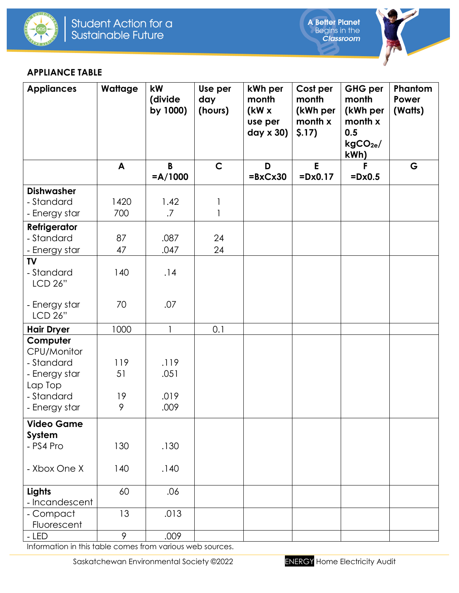



### **APPLIANCE TABLE**

| <b>Appliances</b>                                      | Wattage   | kW<br>(divide<br>by 1000) | Use per<br>day<br>(hours) | kWh per<br>month<br>(kW x)<br>use per<br>$day \times 30$ | Cost per<br>month<br>(kWh per<br>month x<br>\$.17) | <b>GHG per</b><br>month<br>(kWh per<br>month x<br>0.5<br>kgCO <sub>2e</sub><br>kWh) | Phantom<br>Power<br>(Watts) |
|--------------------------------------------------------|-----------|---------------------------|---------------------------|----------------------------------------------------------|----------------------------------------------------|-------------------------------------------------------------------------------------|-----------------------------|
|                                                        | A         | B<br>$=A/1000$            | $\mathsf{C}$              | D<br>$= B \times C \times 30$                            | E<br>$=$ $Dx0.17$                                  | F<br>$=$ Dx0.5                                                                      | G                           |
| <b>Dishwasher</b>                                      |           |                           |                           |                                                          |                                                    |                                                                                     |                             |
| - Standard                                             | 1420      | 1.42                      | $\mathbf{1}$              |                                                          |                                                    |                                                                                     |                             |
| - Energy star                                          | 700       | $.7\,$                    | $\mathbf{1}$              |                                                          |                                                    |                                                                                     |                             |
| <b>Refrigerator</b>                                    |           |                           |                           |                                                          |                                                    |                                                                                     |                             |
| - Standard                                             | 87        | .087                      | 24                        |                                                          |                                                    |                                                                                     |                             |
| - Energy star                                          | 47        | .047                      | 24                        |                                                          |                                                    |                                                                                     |                             |
| <b>TV</b><br>- Standard<br>LCD 26"                     | 140       | .14                       |                           |                                                          |                                                    |                                                                                     |                             |
| - Energy star<br>LCD 26"                               | 70        | .07                       |                           |                                                          |                                                    |                                                                                     |                             |
| <b>Hair Dryer</b>                                      | 1000      | $\mathbf{1}$              | 0.1                       |                                                          |                                                    |                                                                                     |                             |
| Computer<br>CPU/Monitor<br>- Standard<br>- Energy star | 119<br>51 | .119<br>.051              |                           |                                                          |                                                    |                                                                                     |                             |
| Lap Top<br>- Standard                                  | 19<br>9   | .019                      |                           |                                                          |                                                    |                                                                                     |                             |
| - Energy star                                          |           | .009                      |                           |                                                          |                                                    |                                                                                     |                             |
| <b>Video Game</b><br>System<br>- PS4 Pro               | 130       | .130                      |                           |                                                          |                                                    |                                                                                     |                             |
| - Xbox One X                                           | 140       | .140                      |                           |                                                          |                                                    |                                                                                     |                             |
| Lights<br>- Incandescent                               | 60        | .06                       |                           |                                                          |                                                    |                                                                                     |                             |
| - Compact<br>Fluorescent                               | 13        | .013                      |                           |                                                          |                                                    |                                                                                     |                             |
| - LED                                                  | 9         | .009                      |                           |                                                          |                                                    |                                                                                     |                             |

Information in this table comes from various web sources.

Saskatchewan Environmental Society ©2022 ENERGY Home Electricity Audit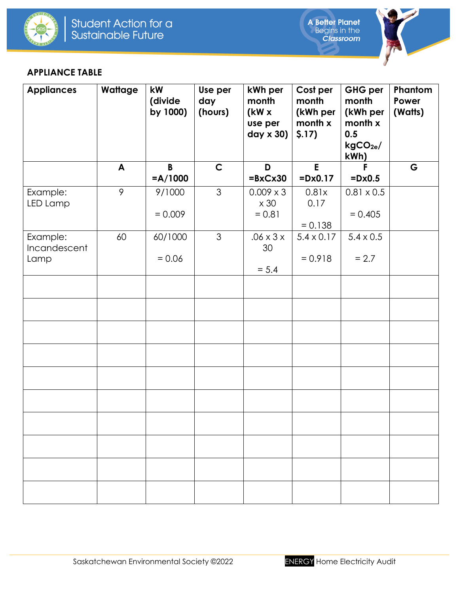



### **APPLIANCE TABLE**

| <b>Appliances</b>                | Wattage      | kW<br>(divide<br>by 1000) | Use per<br>day<br>(hours) | kWh per<br>month<br>(kW x<br>use per<br>day x 30) | Cost per<br>month<br>(kWh per<br>month x<br>\$.17) | GHG per<br>month<br>(kWh per<br>month x<br>0.5<br>kgCO <sub>2e</sub><br>kWh) | Phantom<br>Power<br>(Watts) |
|----------------------------------|--------------|---------------------------|---------------------------|---------------------------------------------------|----------------------------------------------------|------------------------------------------------------------------------------|-----------------------------|
|                                  | $\mathsf{A}$ | $\mathbf{B}$<br>$=A/1000$ | $\mathsf{C}$              | D<br>$= B \times C \times 30$                     | E<br>$=$ Dx0.17                                    | F<br>$=$ Dx0.5                                                               | G                           |
| Example:<br>LED Lamp             | 9            | 9/1000<br>$= 0.009$       | $\mathfrak{S}$            | $0.009 \times 3$<br>$\times 30$<br>$= 0.81$       | 0.81x<br>0.17<br>$= 0.138$                         | $0.81 \times 0.5$<br>$= 0.405$                                               |                             |
| Example:<br>Incandescent<br>Lamp | 60           | 60/1000<br>$= 0.06$       | $\mathfrak{S}$            | $.06 \times 3 \times$<br>30<br>$= 5.4$            | $5.4 \times 0.17$<br>$= 0.918$                     | $5.4 \times 0.5$<br>$= 2.7$                                                  |                             |
|                                  |              |                           |                           |                                                   |                                                    |                                                                              |                             |
|                                  |              |                           |                           |                                                   |                                                    |                                                                              |                             |
|                                  |              |                           |                           |                                                   |                                                    |                                                                              |                             |
|                                  |              |                           |                           |                                                   |                                                    |                                                                              |                             |
|                                  |              |                           |                           |                                                   |                                                    |                                                                              |                             |
|                                  |              |                           |                           |                                                   |                                                    |                                                                              |                             |
|                                  |              |                           |                           |                                                   |                                                    |                                                                              |                             |
|                                  |              |                           |                           |                                                   |                                                    |                                                                              |                             |
|                                  |              |                           |                           |                                                   |                                                    |                                                                              |                             |
|                                  |              |                           |                           |                                                   |                                                    |                                                                              |                             |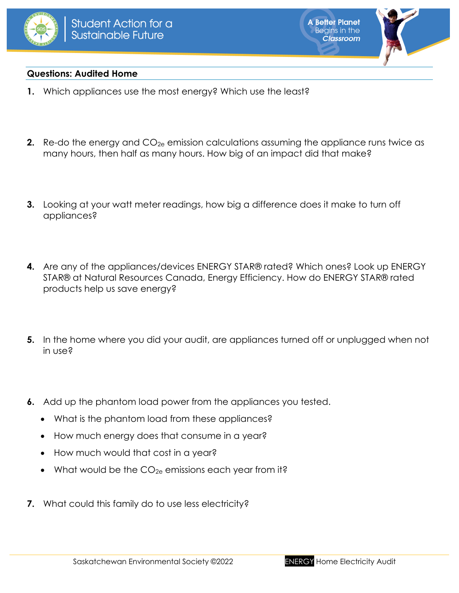



### **Questions: Audited Home**

- **1.** Which appliances use the most energy? Which use the least?
- **2.** Re-do the energy and CO<sub>2e</sub> emission calculations assuming the appliance runs twice as many hours, then half as many hours. How big of an impact did that make?
- **3.** Looking at your watt meter readings, how big a difference does it make to turn off appliances?
- **4.** Are any of the appliances/devices ENERGY STAR® rated? Which ones? Look up ENERGY STAR® at Natural Resources Canada, Energy Efficiency. How do ENERGY STAR® rated products help us save energy?
- **5.** In the home where you did your audit, are appliances turned off or unplugged when not in use?
- **6.** Add up the phantom load power from the appliances you tested.
	- What is the phantom load from these appliances?
	- How much energy does that consume in a year?
	- How much would that cost in a year?
	- What would be the  $CO_{2e}$  emissions each year from it?
- **7.** What could this family do to use less electricity?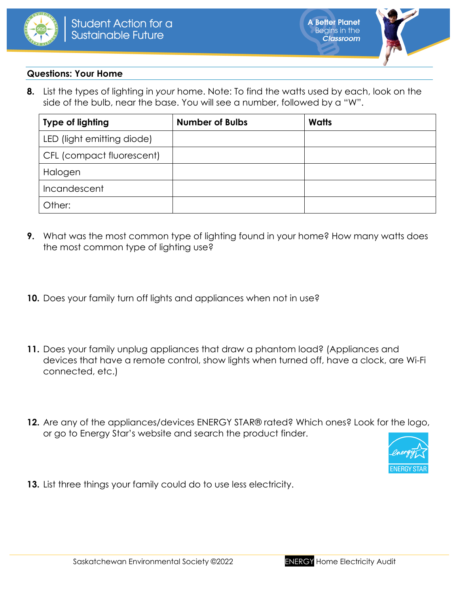



#### **Questions: Your Home**

**8.** List the types of lighting in *your* home. Note: To find the watts used by each, look on the side of the bulb, near the base. You will see a number, followed by a "W".

| <b>Type of lighting</b>    | <b>Number of Bulbs</b> | <b>Watts</b> |
|----------------------------|------------------------|--------------|
| LED (light emitting diode) |                        |              |
| CFL (compact fluorescent)  |                        |              |
| Halogen                    |                        |              |
| Incandescent               |                        |              |
| Other:                     |                        |              |

- **9.** What was the most common type of lighting found in your home? How many watts does the most common type of lighting use?
- **10.** Does your family turn off lights and appliances when not in use?
- **11.** Does your family unplug appliances that draw a phantom load? (Appliances and devices that have a remote control, show lights when turned off, have a clock, are Wi-Fi connected, etc.)
- **12.** Are any of the appliances/devices ENERGY STAR® rated? Which ones? Look for the logo, or go to Energy Star's website and search the product finder.



**13.** List three things your family could do to use less electricity.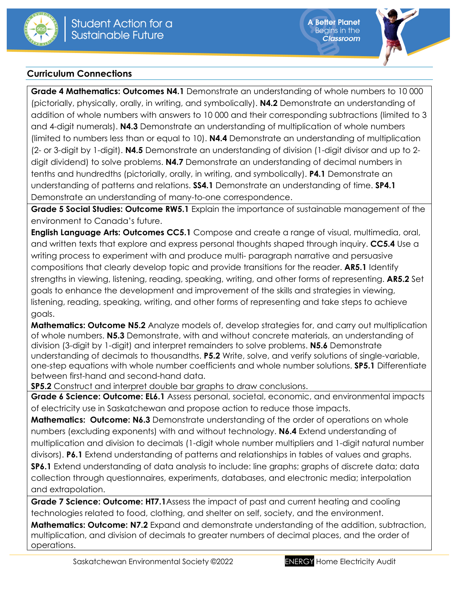



## **Curriculum Connections**

**Grade 4 Mathematics: Outcomes N4.1** Demonstrate an understanding of whole numbers to 10 000 (pictorially, physically, orally, in writing, and symbolically). **N4.2** Demonstrate an understanding of addition of whole numbers with answers to 10 000 and their corresponding subtractions (limited to 3 and 4-digit numerals). **N4.3** Demonstrate an understanding of multiplication of whole numbers (limited to numbers less than or equal to 10). **N4.4** Demonstrate an understanding of multiplication (2- or 3-digit by 1-digit). **N4.5** Demonstrate an understanding of division (1-digit divisor and up to 2 digit dividend) to solve problems. **N4.7** Demonstrate an understanding of decimal numbers in tenths and hundredths (pictorially, orally, in writing, and symbolically). **P4.1** Demonstrate an understanding of patterns and relations. **SS4.1** Demonstrate an understanding of time. **SP4.1** Demonstrate an understanding of many-to-one correspondence.

**Grade 5 Social Studies: Outcome RW5.1** Explain the importance of sustainable management of the environment to Canada's future.

**English Language Arts: Outcomes CC5.1** Compose and create a range of visual, multimedia, oral, and written texts that explore and express personal thoughts shaped through inquiry. **CC5.4** Use a writing process to experiment with and produce multi- paragraph narrative and persuasive compositions that clearly develop topic and provide transitions for the reader. **AR5.1** Identify strengths in viewing, listening, reading, speaking, writing, and other forms of representing. **AR5.2** Set goals to enhance the development and improvement of the skills and strategies in viewing, listening, reading, speaking, writing, and other forms of representing and take steps to achieve goals.

**Mathematics: Outcome N5.2** Analyze models of, develop strategies for, and carry out multiplication of whole numbers. **N5.3** Demonstrate, with and without concrete materials, an understanding of division (3-digit by 1-digit) and interpret remainders to solve problems. **N5.6** Demonstrate understanding of decimals to thousandths. **P5.2** Write, solve, and verify solutions of single-variable, one-step equations with whole number coefficients and whole number solutions. **SP5.1** Differentiate between first-hand and second-hand data.

**SP5.2** Construct and interpret double bar graphs to draw conclusions.

**Grade 6 Science: Outcome: EL6.1** Assess personal, societal, economic, and environmental impacts of electricity use in Saskatchewan and propose action to reduce those impacts.

**Mathematics: Outcome: N6.3** Demonstrate understanding of the order of operations on whole numbers (excluding exponents) with and without technology. **N6.4** Extend understanding of multiplication and division to decimals (1-digit whole number multipliers and 1-digit natural number divisors). **P6.1** Extend understanding of patterns and relationships in tables of values and graphs. **SP6.1** Extend understanding of data analysis to include: line graphs; graphs of discrete data; data collection through questionnaires, experiments, databases, and electronic media; interpolation and extrapolation.

**Grade 7 Science: Outcome: HT7.1**Assess the impact of past and current heating and cooling technologies related to food, clothing, and shelter on self, society, and the environment. **Mathematics: Outcome: N7.2** Expand and demonstrate understanding of the addition, subtraction, multiplication, and division of decimals to greater numbers of decimal places, and the order of operations.